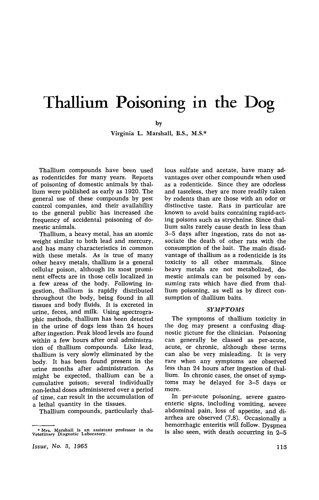# • **Thallium Poisoning In the Dog**

by

Virginia L. Marshall, B.S., M.S.\*

Thallium compounds have been used as rodenticides for many years. Reports of poisoning of domestic animals by thallium were published as early as 1920. The general use of these compounds by pest control companies, and their availability to the general public has increased the frequency of accidental poisoning of domestic animals.

Thallium, a heavy metal, has an atomic weight similar to both lead and mercury, and has many characteristics in common with these metals. As is true of many other heavy metals, thallium is a general cellular poison, although its most prominent effects are in those cells localized in a few areas of the body. Following ingestion, thallium is rapidly distributed throughout the body, being found in all tissues and body fluids. It is excreted in urine, feces, and milk. Using spectrographic methods, thallium has been detected in the urine of dogs less than 24 hours after ingestion. Peak blood levels are found within a few hours after oral administration of thallium compounds. Like lead, thallium is very slowly eliminated by the body. It has been found present in the urine months after administration. As might be expected, thallium can be a cumulative poison; several individually non-lethal doses administered over a period of time, can result in the accumulation of a lethal quantity in the tissues.

Thallium compounds, particularly thal-

lous sulfate and acetate, have many advantages over other compounds when used as a rodenticide. Since they are odorless and tasteless, they are more readily taken by rodents than are those with an odor or distinctive taste. Rats in particular are known to avoid baits containing rapid-acting poisons such as strychnine. Since thallium salts rarely cause death in less than 3-5 days after ingestion, rats do not associate the death of other rats with the consumption of the bait. The main disadvantage of thallium as a rodenticide is its toxicity to all other mammals. Since heavy metals are not metabolized, domestic animals can be poisoned by consuming rats which have died from thallium poisoning, as well as by direct consumption of thallium baits.

### *SYMPTOMS*

The symptoms of thallium toxicity in the dog may present a confusing diagnostic picture for the clinician. Poisoning can generally be classed as per-acute, acute, or chronic, although these terms can also be very misleading. It is very rare when any symptoms are observed less than 24 hours after ingestion of thallium. In chronic cases, the onset of symptoms may be delayed for 3-5 days or more.

In per-acute poisoning, severe gastroenteric signs, including vomiting, severe abdominal pain, loss of appetite, and diarrhea are observed (7,8). Occasionally a hemorrhagic enteritis will follow. Dyspnea is also seen, with death occurring in 2-5

*Issue, No.3, 1965* 

<sup>•</sup> Mrs. Marshall is an assistant professor in the Veterinary Diagnotic Laboratory.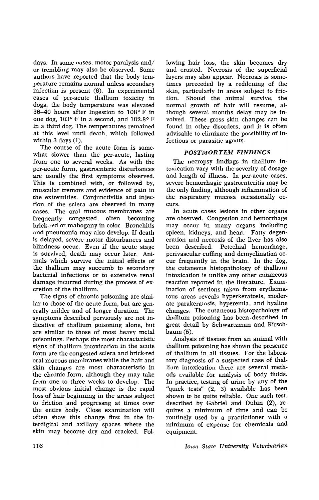days. In some cases, motor paralysis and/ or trembling may also be observed. Some authors have reported that the body temperature remains normal unless secondary infection is present (6). In experimental cases of per-acute thallium toxicity in dogs, the body temperature was elevated 36-40 hours after ingestion to 108° F in one dog, 103° F in a second, and 102.8° F in a third dog. The temperatures remained at this level until death, which followed within 3 days (1).

The course of the acute form is somewhat slower than the per-acute, lasting from one to several weeks. As with the per-acute form, gastroenteric disturbances are usually the first symptoms observed. This is combined with, or followed by, muscular tremors and evidence of pain in the extremities. Conjunctivitis and injection of the sclera are observed in many cases. The oral mucous membranes are frequently congested, often becoming brick-red or mahogany in color. Bronchitis and pneumonia may also develop. If death is delayed, severe motor disturbances and blindness occur. Even if the acute stage is survived, death may occur later. Animals which survive the initial effects of the thallium may succumb to secondary bacterial infections or to extensive renal damage incurred during the process of excretion of the thallium.

The signs of chronic poisoning are similar to those of the acute form, but are generally milder and of longer duration. The symptoms described perviously are not indicative of thallium poisoning alone, but are similar to those of most heavy metal poisonings. Perhaps the most characteristic signs of thallium intoxication in the acute form are the congested sclera and brick-red oral mucous membranes while the hair and skin changes are most characteristic in the chronic form, although they may take from one to three weeks to develop. The most obvious initial change is the rapid loss of hair beginning in the areas subject to friction and progressng at times over the entire body. Close examination will often show this change first in the interdigital and axillary spaces where the skin may become dry and cracked. Following hair loss, the skin becomes dry and crusted. Necrosis of the superficial layers may also appear. Necrosis is sometimes preceeded by a reddening of the skin, particularly in areas subject to friction. Should the animal survive, the normal growth of hair will resume, although several months delay may be involved. These gross skin changes can be found in other disorders, and it is often advisable to eliminate the possibility of infectious or parasitic agents.

## *POSTMORTEM FINDINGS*

The necropsy findings in thallium intoxication vary with the severity of dosage and length of illness. In per-acute cases, severe hemorrhagic gastroenteritis may be the only finding, although inflammation of the respiratory mucosa occasionally occurs.

In acute cases lesions in other organs are observed. Congestion and hemorrhage may occur in many organs including spleen, kidneys, and heart. Fatty degeneration and necrosis of the liver has also been described. Petechial hemorrhage, perivascular cuffing and demyelination occur frequently in the brain. In the dog, the cutaneous histopathology of thallium intoxication is unlike any other cutaneous reaction reported in the literature. Examination of sections taken from erythematous areas reveals hyperkeratosis, moderate parakeratosis, hyperemia, and hyaline changes. The cutaneous histopathology of thallium poisoning has been. described in great detail by Schwartzman and Kirschbaum (5).

Analysis of tissues from an animal with thallium poisoning has shown the presence of thallium in all tissues. For the laboratory diagnosis of a suspected case of thallium intoxication there are several methods available for analysis of body fluids. In practice, testing of urine by any of the "quick tests" (2, 3) available has been shown to be quite reliable. One such test, described by Gabriel and Dubin (2), requires a minimum of time and can be routinely used by a practictioner with a minimum of expense for chemicals and equipment.

*Iowa State University Veterinarian*